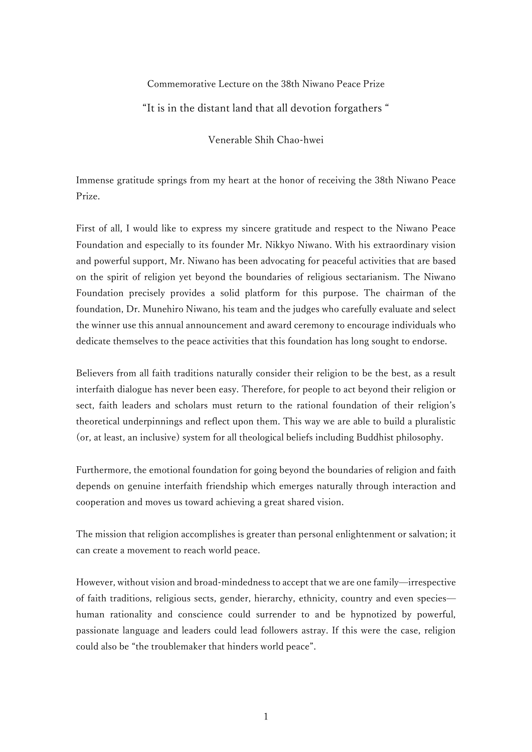## Commemorative Lecture on the 38th Niwano Peace Prize

## "It is in the distant land that all devotion forgathers "

Venerable Shih Chao-hwei

Immense gratitude springs from my heart at the honor of receiving the 38th Niwano Peace Prize.

First of all, I would like to express my sincere gratitude and respect to the Niwano Peace Foundation and especially to its founder Mr. Nikkyo Niwano. With his extraordinary vision and powerful support, Mr. Niwano has been advocating for peaceful activities that are based on the spirit of religion yet beyond the boundaries of religious sectarianism. The Niwano Foundation precisely provides a solid platform for this purpose. The chairman of the foundation, Dr. Munehiro Niwano, his team and the judges who carefully evaluate and select the winner use this annual announcement and award ceremony to encourage individuals who dedicate themselves to the peace activities that this foundation has long sought to endorse.

Believers from all faith traditions naturally consider their religion to be the best, as a result interfaith dialogue has never been easy. Therefore, for people to act beyond their religion or sect, faith leaders and scholars must return to the rational foundation of their religion's theoretical underpinnings and reflect upon them. This way we are able to build a pluralistic (or, at least, an inclusive) system for all theological beliefs including Buddhist philosophy.

Furthermore, the emotional foundation for going beyond the boundaries of religion and faith depends on genuine interfaith friendship which emerges naturally through interaction and cooperation and moves us toward achieving a great shared vision.

The mission that religion accomplishes is greater than personal enlightenment or salvation; it can create a movement to reach world peace.

However, without vision and broad-mindedness to accept that we are one family—irrespective of faith traditions, religious sects, gender, hierarchy, ethnicity, country and even species human rationality and conscience could surrender to and be hypnotized by powerful, passionate language and leaders could lead followers astray. If this were the case, religion could also be "the troublemaker that hinders world peace".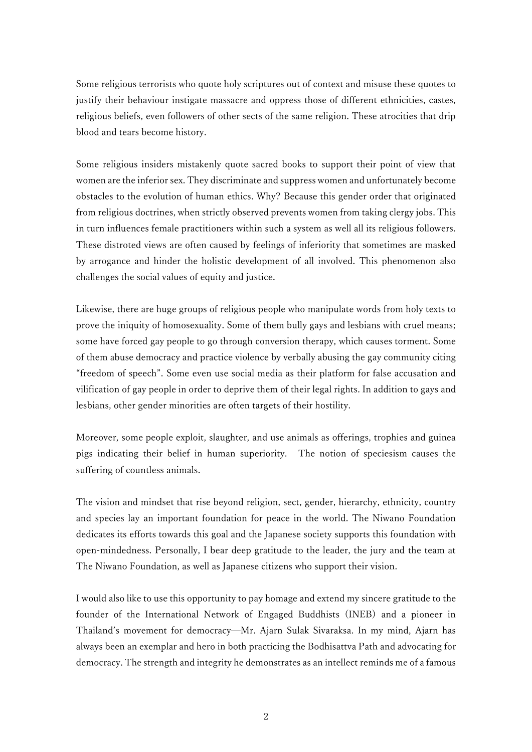Some religious terrorists who quote holy scriptures out of context and misuse these quotes to justify their behaviour instigate massacre and oppress those of different ethnicities, castes, religious beliefs, even followers of other sects of the same religion. These atrocities that drip blood and tears become history.

Some religious insiders mistakenly quote sacred books to support their point of view that women are the inferior sex. They discriminate and suppress women and unfortunately become obstacles to the evolution of human ethics. Why? Because this gender order that originated from religious doctrines, when strictly observed prevents women from taking clergy jobs. This in turn influences female practitioners within such a system as well all its religious followers. These distroted views are often caused by feelings of inferiority that sometimes are masked by arrogance and hinder the holistic development of all involved. This phenomenon also challenges the social values of equity and justice.

Likewise, there are huge groups of religious people who manipulate words from holy texts to prove the iniquity of homosexuality. Some of them bully gays and lesbians with cruel means; some have forced gay people to go through conversion therapy, which causes torment. Some of them abuse democracy and practice violence by verbally abusing the gay community citing "freedom of speech". Some even use social media as their platform for false accusation and vilification of gay people in order to deprive them of their legal rights. In addition to gays and lesbians, other gender minorities are often targets of their hostility.

Moreover, some people exploit, slaughter, and use animals as offerings, trophies and guinea pigs indicating their belief in human superiority. The notion of speciesism causes the suffering of countless animals.

The vision and mindset that rise beyond religion, sect, gender, hierarchy, ethnicity, country and species lay an important foundation for peace in the world. The Niwano Foundation dedicates its efforts towards this goal and the Japanese society supports this foundation with open-mindedness. Personally, I bear deep gratitude to the leader, the jury and the team at The Niwano Foundation, as well as Japanese citizens who support their vision.

I would also like to use this opportunity to pay homage and extend my sincere gratitude to the founder of the International Network of Engaged Buddhists (INEB) and a pioneer in Thailand's movement for democracy—Mr. Ajarn Sulak Sivaraksa. In my mind, Ajarn has always been an exemplar and hero in both practicing the Bodhisattva Path and advocating for democracy. The strength and integrity he demonstrates as an intellect reminds me of a famous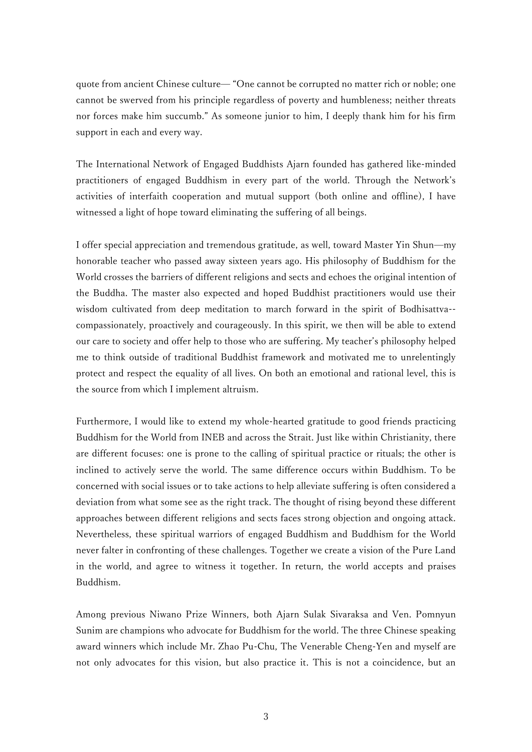quote from ancient Chinese culture— "One cannot be corrupted no matter rich or noble; one cannot be swerved from his principle regardless of poverty and humbleness; neither threats nor forces make him succumb." As someone junior to him, I deeply thank him for his firm support in each and every way.

The International Network of Engaged Buddhists Ajarn founded has gathered like-minded practitioners of engaged Buddhism in every part of the world. Through the Network's activities of interfaith cooperation and mutual support (both online and offline), I have witnessed a light of hope toward eliminating the suffering of all beings.

I offer special appreciation and tremendous gratitude, as well, toward Master Yin Shun—my honorable teacher who passed away sixteen years ago. His philosophy of Buddhism for the World crosses the barriers of different religions and sects and echoes the original intention of the Buddha. The master also expected and hoped Buddhist practitioners would use their wisdom cultivated from deep meditation to march forward in the spirit of Bodhisattva- compassionately, proactively and courageously. In this spirit, we then will be able to extend our care to society and offer help to those who are suffering. My teacher's philosophy helped me to think outside of traditional Buddhist framework and motivated me to unrelentingly protect and respect the equality of all lives. On both an emotional and rational level, this is the source from which I implement altruism.

Furthermore, I would like to extend my whole-hearted gratitude to good friends practicing Buddhism for the World from INEB and across the Strait. Just like within Christianity, there are different focuses: one is prone to the calling of spiritual practice or rituals; the other is inclined to actively serve the world. The same difference occurs within Buddhism. To be concerned with social issues or to take actions to help alleviate suffering is often considered a deviation from what some see as the right track. The thought of rising beyond these different approaches between different religions and sects faces strong objection and ongoing attack. Nevertheless, these spiritual warriors of engaged Buddhism and Buddhism for the World never falter in confronting of these challenges. Together we create a vision of the Pure Land in the world, and agree to witness it together. In return, the world accepts and praises Buddhism.

Among previous Niwano Prize Winners, both Ajarn Sulak Sivaraksa and Ven. Pomnyun Sunim are champions who advocate for Buddhism for the world. The three Chinese speaking award winners which include Mr. Zhao Pu-Chu, The Venerable Cheng-Yen and myself are not only advocates for this vision, but also practice it. This is not a coincidence, but an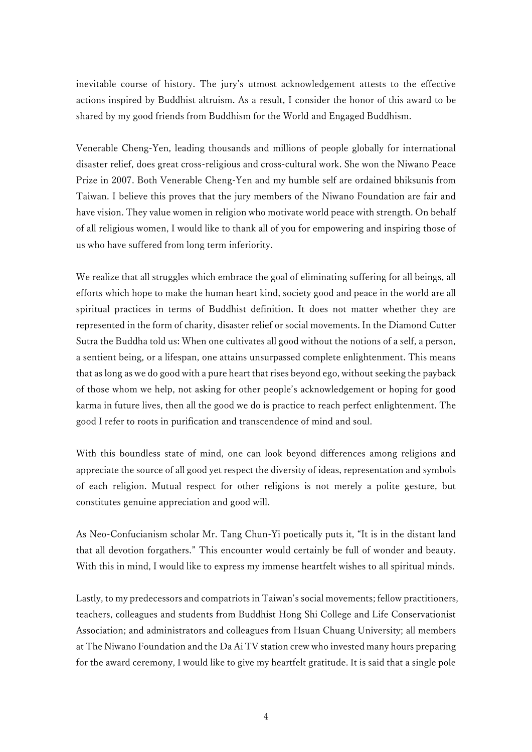inevitable course of history. The jury's utmost acknowledgement attests to the effective actions inspired by Buddhist altruism. As a result, I consider the honor of this award to be shared by my good friends from Buddhism for the World and Engaged Buddhism.

Venerable Cheng-Yen, leading thousands and millions of people globally for international disaster relief, does great cross-religious and cross-cultural work. She won the Niwano Peace Prize in 2007. Both Venerable Cheng-Yen and my humble self are ordained bhiksunis from Taiwan. I believe this proves that the jury members of the Niwano Foundation are fair and have vision. They value women in religion who motivate world peace with strength. On behalf of all religious women, I would like to thank all of you for empowering and inspiring those of us who have suffered from long term inferiority.

We realize that all struggles which embrace the goal of eliminating suffering for all beings, all efforts which hope to make the human heart kind, society good and peace in the world are all spiritual practices in terms of Buddhist definition. It does not matter whether they are represented in the form of charity, disaster relief or social movements. In the Diamond Cutter Sutra the Buddha told us: When one cultivates all good without the notions of a self, a person, a sentient being, or a lifespan, one attains unsurpassed complete enlightenment. This means that as long as we do good with a pure heart that rises beyond ego, without seeking the payback of those whom we help, not asking for other people's acknowledgement or hoping for good karma in future lives, then all the good we do is practice to reach perfect enlightenment. The good I refer to roots in purification and transcendence of mind and soul.

With this boundless state of mind, one can look beyond differences among religions and appreciate the source of all good yet respect the diversity of ideas, representation and symbols of each religion. Mutual respect for other religions is not merely a polite gesture, but constitutes genuine appreciation and good will.

As Neo-Confucianism scholar Mr. Tang Chun-Yi poetically puts it, "It is in the distant land that all devotion forgathers." This encounter would certainly be full of wonder and beauty. With this in mind, I would like to express my immense heartfelt wishes to all spiritual minds.

Lastly, to my predecessors and compatriots in Taiwan's social movements; fellow practitioners, teachers, colleagues and students from Buddhist Hong Shi College and Life Conservationist Association; and administrators and colleagues from Hsuan Chuang University; all members at The Niwano Foundation and the Da Ai TV station crew who invested many hours preparing for the award ceremony, I would like to give my heartfelt gratitude. It is said that a single pole